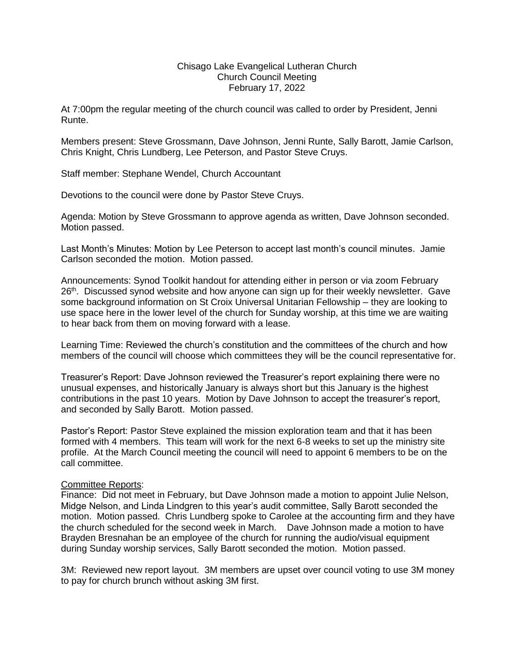## Chisago Lake Evangelical Lutheran Church Church Council Meeting February 17, 2022

At 7:00pm the regular meeting of the church council was called to order by President, Jenni Runte.

Members present: Steve Grossmann, Dave Johnson, Jenni Runte, Sally Barott, Jamie Carlson, Chris Knight, Chris Lundberg, Lee Peterson, and Pastor Steve Cruys.

Staff member: Stephane Wendel, Church Accountant

Devotions to the council were done by Pastor Steve Cruys.

Agenda: Motion by Steve Grossmann to approve agenda as written, Dave Johnson seconded. Motion passed.

Last Month's Minutes: Motion by Lee Peterson to accept last month's council minutes. Jamie Carlson seconded the motion. Motion passed.

Announcements: Synod Toolkit handout for attending either in person or via zoom February 26<sup>th</sup>. Discussed synod website and how anyone can sign up for their weekly newsletter. Gave some background information on St Croix Universal Unitarian Fellowship – they are looking to use space here in the lower level of the church for Sunday worship, at this time we are waiting to hear back from them on moving forward with a lease.

Learning Time: Reviewed the church's constitution and the committees of the church and how members of the council will choose which committees they will be the council representative for.

Treasurer's Report: Dave Johnson reviewed the Treasurer's report explaining there were no unusual expenses, and historically January is always short but this January is the highest contributions in the past 10 years. Motion by Dave Johnson to accept the treasurer's report, and seconded by Sally Barott. Motion passed.

Pastor's Report: Pastor Steve explained the mission exploration team and that it has been formed with 4 members. This team will work for the next 6-8 weeks to set up the ministry site profile. At the March Council meeting the council will need to appoint 6 members to be on the call committee.

## Committee Reports:

Finance: Did not meet in February, but Dave Johnson made a motion to appoint Julie Nelson, Midge Nelson, and Linda Lindgren to this year's audit committee, Sally Barott seconded the motion. Motion passed. Chris Lundberg spoke to Carolee at the accounting firm and they have the church scheduled for the second week in March. Dave Johnson made a motion to have Brayden Bresnahan be an employee of the church for running the audio/visual equipment during Sunday worship services, Sally Barott seconded the motion. Motion passed.

3M: Reviewed new report layout. 3M members are upset over council voting to use 3M money to pay for church brunch without asking 3M first.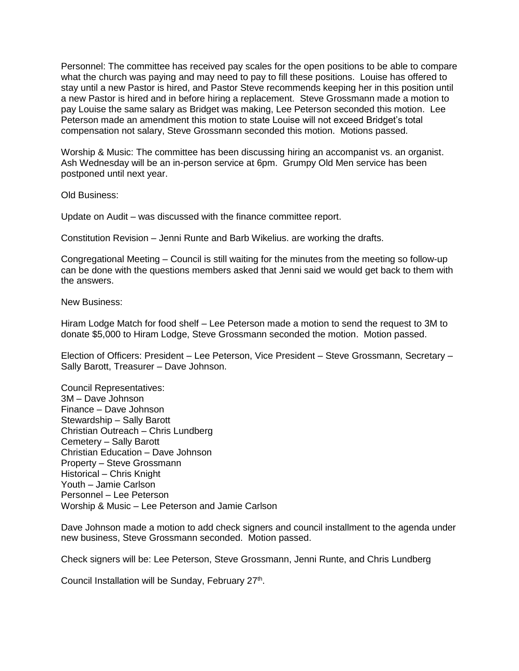Personnel: The committee has received pay scales for the open positions to be able to compare what the church was paying and may need to pay to fill these positions. Louise has offered to stay until a new Pastor is hired, and Pastor Steve recommends keeping her in this position until a new Pastor is hired and in before hiring a replacement. Steve Grossmann made a motion to pay Louise the same salary as Bridget was making, Lee Peterson seconded this motion. Lee Peterson made an amendment this motion to state Louise will not exceed Bridget's total compensation not salary, Steve Grossmann seconded this motion. Motions passed.

Worship & Music: The committee has been discussing hiring an accompanist vs. an organist. Ash Wednesday will be an in-person service at 6pm. Grumpy Old Men service has been postponed until next year.

Old Business:

Update on Audit – was discussed with the finance committee report.

Constitution Revision – Jenni Runte and Barb Wikelius. are working the drafts.

Congregational Meeting – Council is still waiting for the minutes from the meeting so follow-up can be done with the questions members asked that Jenni said we would get back to them with the answers.

New Business:

Hiram Lodge Match for food shelf – Lee Peterson made a motion to send the request to 3M to donate \$5,000 to Hiram Lodge, Steve Grossmann seconded the motion. Motion passed.

Election of Officers: President – Lee Peterson, Vice President – Steve Grossmann, Secretary – Sally Barott, Treasurer – Dave Johnson.

Council Representatives: 3M – Dave Johnson Finance – Dave Johnson Stewardship – Sally Barott Christian Outreach – Chris Lundberg Cemetery – Sally Barott Christian Education – Dave Johnson Property – Steve Grossmann Historical – Chris Knight Youth – Jamie Carlson Personnel – Lee Peterson Worship & Music – Lee Peterson and Jamie Carlson

Dave Johnson made a motion to add check signers and council installment to the agenda under new business, Steve Grossmann seconded. Motion passed.

Check signers will be: Lee Peterson, Steve Grossmann, Jenni Runte, and Chris Lundberg

Council Installation will be Sunday, February 27<sup>th</sup>.